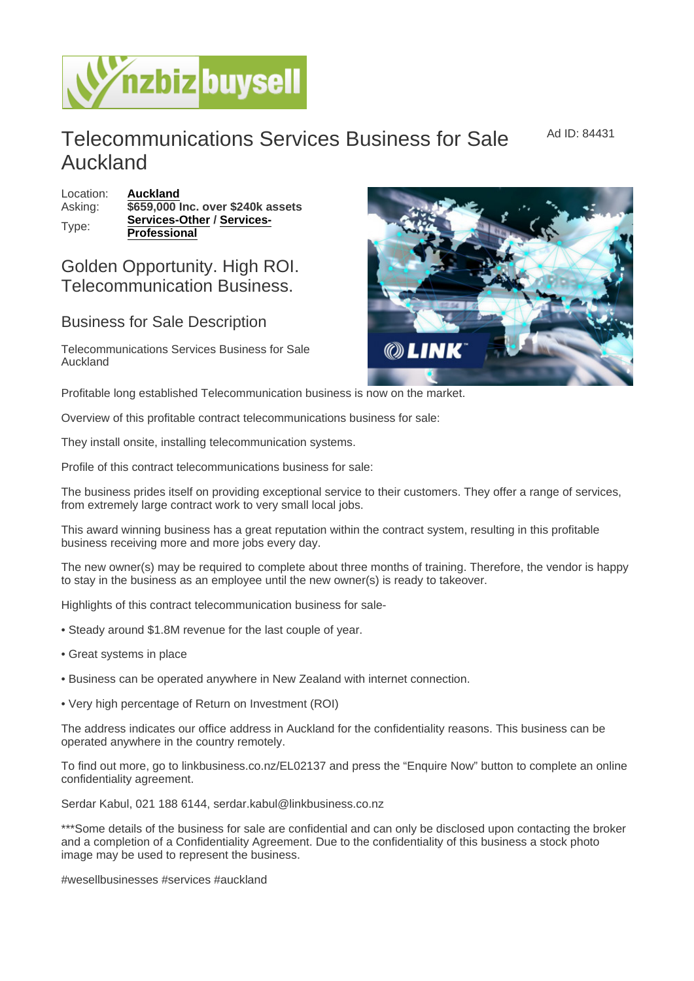Ad ID: 84431

## Telecommunications Services Business for Sale Auckland

Location: [Auckland](https://www.nzbizbuysell.co.nz/businesses-for-sale/location/Auckland) Asking:  $\sqrt{659,000}$  Inc. over \$240k assets Type: [Services-Other](https://www.nzbizbuysell.co.nz/businesses-for-sale/Services/New-Zealand) / [Services-](https://www.nzbizbuysell.co.nz/businesses-for-sale/Services-Professional/New-Zealand)**[Professional](https://www.nzbizbuysell.co.nz/businesses-for-sale/Services-Professional/New-Zealand)** 

## Golden Opportunity. High ROI. Telecommunication Business.

## Business for Sale Description

Telecommunications Services Business for Sale Auckland

Profitable long established Telecommunication business is now on the market.

Overview of this profitable contract telecommunications business for sale:

They install onsite, installing telecommunication systems.

Profile of this contract telecommunications business for sale:

The business prides itself on providing exceptional service to their customers. They offer a range of services, from extremely large contract work to very small local jobs.

This award winning business has a great reputation within the contract system, resulting in this profitable business receiving more and more jobs every day.

The new owner(s) may be required to complete about three months of training. Therefore, the vendor is happy to stay in the business as an employee until the new owner(s) is ready to takeover.

Highlights of this contract telecommunication business for sale-

- Steady around \$1.8M revenue for the last couple of year.
- Great systems in place
- Business can be operated anywhere in New Zealand with internet connection.
- Very high percentage of Return on Investment (ROI)

The address indicates our office address in Auckland for the confidentiality reasons. This business can be operated anywhere in the country remotely.

To find out more, go to linkbusiness.co.nz/EL02137 and press the "Enquire Now" button to complete an online confidentiality agreement.

Serdar Kabul, 021 188 6144, serdar.kabul@linkbusiness.co.nz

\*\*\*Some details of the business for sale are confidential and can only be disclosed upon contacting the broker and a completion of a Confidentiality Agreement. Due to the confidentiality of this business a stock photo image may be used to represent the business.

#wesellbusinesses #services #auckland